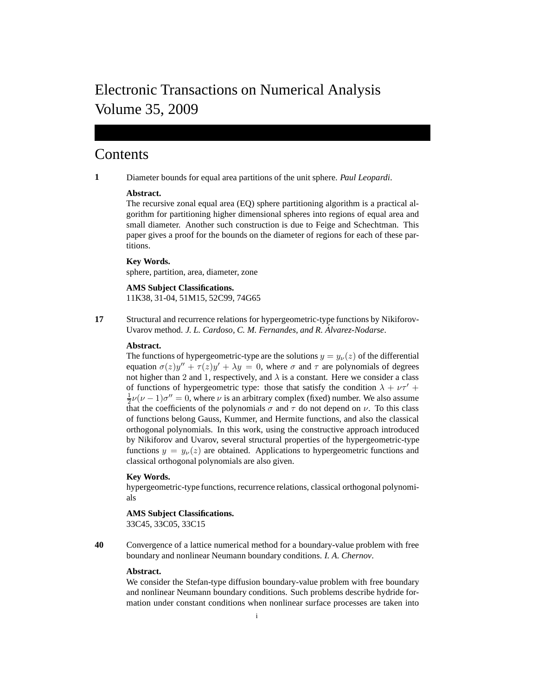# Electronic Transactions on Numerical Analysis Volume 35, 2009

## Contents

**1** Diameter bounds for equal area partitions of the unit sphere. *Paul Leopardi*.

## **Abstract.**

The recursive zonal equal area (EQ) sphere partitioning algorithm is a practical algorithm for partitioning higher dimensional spheres into regions of equal area and small diameter. Another such construction is due to Feige and Schechtman. This paper gives a proof for the bounds on the diameter of regions for each of these partitions.

## **Key Words.**

sphere, partition, area, diameter, zone

**AMS Subject Classifications.** 11K38, 31-04, 51M15, 52C99, 74G65

**17** Structural and recurrence relations for hypergeometric-type functions by Nikiforov-Uvarov method. *J. L. Cardoso, C. M. Fernandes, and R. Álvarez-Nodarse.* 

## **Abstract.**

The functions of hypergeometric-type are the solutions  $y = y_{\nu}(z)$  of the differential equation  $\sigma(z)y'' + \tau(z)y' + \lambda y = 0$ , where  $\sigma$  and  $\tau$  are polynomials of degrees not higher than 2 and 1, respectively, and  $\lambda$  is a constant. Here we consider a class of functions of hypergeometric type: those that satisfy the condition  $\lambda + \nu \tau' +$  $\frac{1}{2}\nu(\nu-1)\sigma''=0$ , where  $\nu$  is an arbitrary complex (fixed) number. We also assume that the coefficients of the polynomials  $\sigma$  and  $\tau$  do not depend on  $\nu$ . To this class of functions belong Gauss, Kummer, and Hermite functions, and also the classical orthogonal polynomials. In this work, using the constructive approach introduced by Nikiforov and Uvarov, several structural properties of the hypergeometric-type functions  $y = y_{\nu}(z)$  are obtained. Applications to hypergeometric functions and classical orthogonal polynomials are also given.

## **Key Words.**

hypergeometric-type functions, recurrence relations, classical orthogonal polynomials

#### **AMS Subject Classifications.** 33C45, 33C05, 33C15

**40** Convergence of a lattice numerical method for a boundary-value problem with free boundary and nonlinear Neumann boundary conditions. *I. A. Chernov*.

#### **Abstract.**

We consider the Stefan-type diffusion boundary-value problem with free boundary and nonlinear Neumann boundary conditions. Such problems describe hydride formation under constant conditions when nonlinear surface processes are taken into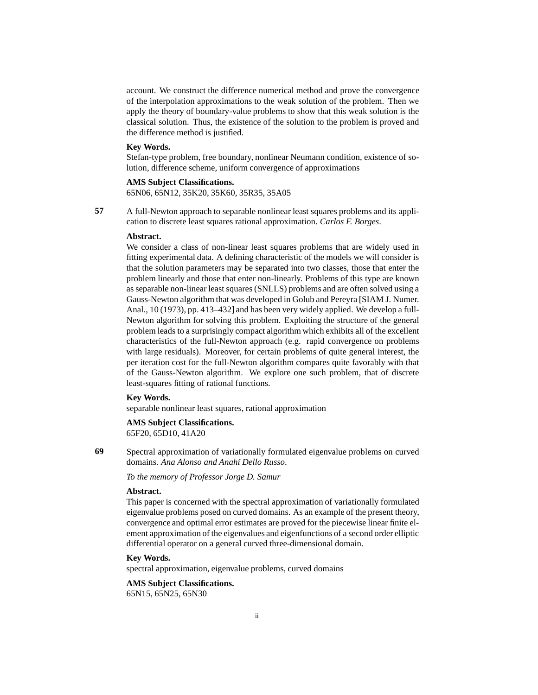account. We construct the difference numerical method and prove the convergence of the interpolation approximations to the weak solution of the problem. Then we apply the theory of boundary-value problems to show that this weak solution is the classical solution. Thus, the existence of the solution to the problem is proved and the difference method is justified.

#### **Key Words.**

Stefan-type problem, free boundary, nonlinear Neumann condition, existence of solution, difference scheme, uniform convergence of approximations

#### **AMS Subject Classifications.**

65N06, 65N12, 35K20, 35K60, 35R35, 35A05

**57** A full-Newton approach to separable nonlinear least squares problems and its application to discrete least squares rational approximation. *Carlos F. Borges*.

#### **Abstract.**

We consider a class of non-linear least squares problems that are widely used in fitting experimental data. A defining characteristic of the models we will consider is that the solution parameters may be separated into two classes, those that enter the problem linearly and those that enter non-linearly. Problems of this type are known as separable non-linear least squares (SNLLS) problems and are often solved using a Gauss-Newton algorithm that was developed in Golub and Pereyra [SIAM J. Numer. Anal., 10 (1973), pp. 413–432] and has been very widely applied. We develop a full-Newton algorithm for solving this problem. Exploiting the structure of the general problem leads to a surprisingly compact algorithm which exhibits all of the excellent characteristics of the full-Newton approach (e.g. rapid convergence on problems with large residuals). Moreover, for certain problems of quite general interest, the per iteration cost for the full-Newton algorithm compares quite favorably with that of the Gauss-Newton algorithm. We explore one such problem, that of discrete least-squares fitting of rational functions.

## **Key Words.**

separable nonlinear least squares, rational approximation

## **AMS Subject Classifications.**

65F20, 65D10, 41A20

**69** Spectral approximation of variationally formulated eigenvalue problems on curved domains. *Ana Alonso and Anah´ı Dello Russo*.

*To the memory of Professor Jorge D. Samur*

## **Abstract.**

This paper is concerned with the spectral approximation of variationally formulated eigenvalue problems posed on curved domains. As an example of the present theory, convergence and optimal error estimates are proved for the piecewise linear finite element approximation of the eigenvalues and eigenfunctions of a second order elliptic differential operator on a general curved three-dimensional domain.

#### **Key Words.**

spectral approximation, eigenvalue problems, curved domains

## **AMS Subject Classifications.**

65N15, 65N25, 65N30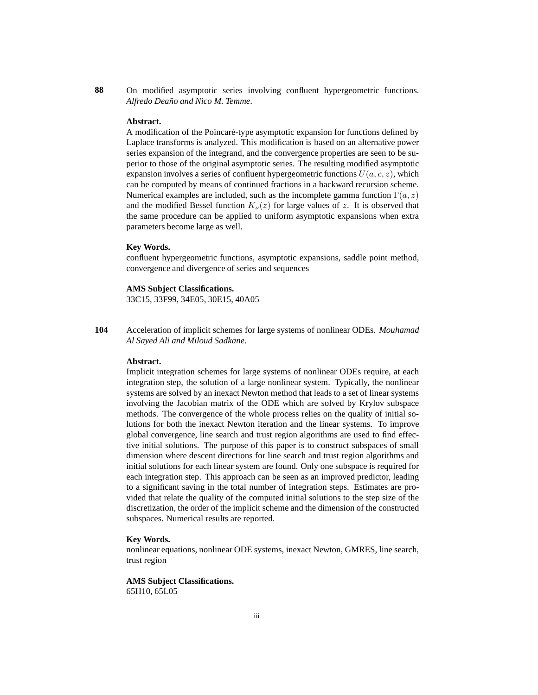**88** On modified asymptotic series involving confluent hypergeometric functions. *Alfredo Deaño and Nico M. Temme.* 

## **Abstract.**

A modification of the Poincaré-type asymptotic expansion for functions defined by Laplace transforms is analyzed. This modification is based on an alternative power series expansion of the integrand, and the convergence properties are seen to be superior to those of the original asymptotic series. The resulting modified asymptotic expansion involves a series of confluent hypergeometric functions  $U(a, c, z)$ , which can be computed by means of continued fractions in a backward recursion scheme. Numerical examples are included, such as the incomplete gamma function  $\Gamma(a, z)$ and the modified Bessel function  $K_{\nu}(z)$  for large values of z. It is observed that the same procedure can be applied to uniform asymptotic expansions when extra parameters become large as well.

#### **Key Words.**

confluent hypergeometric functions, asymptotic expansions, saddle point method, convergence and divergence of series and sequences

#### **AMS Subject Classifications.**

33C15, 33F99, 34E05, 30E15, 40A05

**104** Acceleration of implicit schemes for large systems of nonlinear ODEs. *Mouhamad Al Sayed Ali and Miloud Sadkane*.

## **Abstract.**

Implicit integration schemes for large systems of nonlinear ODEs require, at each integration step, the solution of a large nonlinear system. Typically, the nonlinear systems are solved by an inexact Newton method that leads to a set of linear systems involving the Jacobian matrix of the ODE which are solved by Krylov subspace methods. The convergence of the whole process relies on the quality of initial solutions for both the inexact Newton iteration and the linear systems. To improve global convergence, line search and trust region algorithms are used to find effective initial solutions. The purpose of this paper is to construct subspaces of small dimension where descent directions for line search and trust region algorithms and initial solutions for each linear system are found. Only one subspace is required for each integration step. This approach can be seen as an improved predictor, leading to a significant saving in the total number of integration steps. Estimates are provided that relate the quality of the computed initial solutions to the step size of the discretization, the order of the implicit scheme and the dimension of the constructed subspaces. Numerical results are reported.

## **Key Words.**

nonlinear equations, nonlinear ODE systems, inexact Newton, GMRES, line search, trust region

**AMS Subject Classifications.** 65H10, 65L05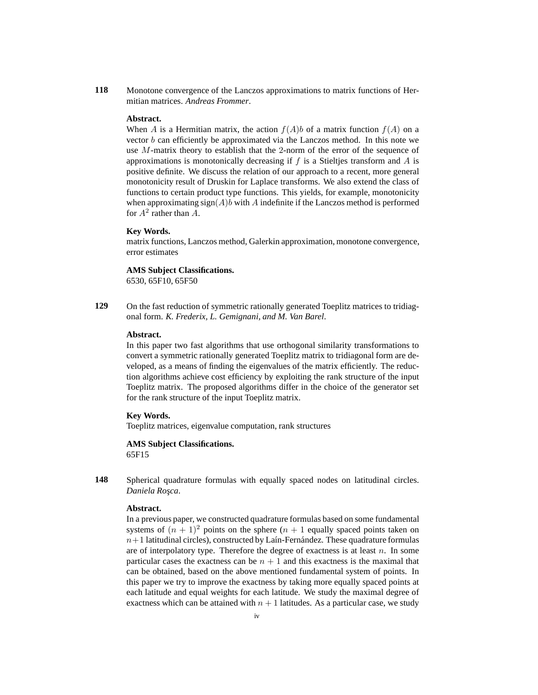**118** Monotone convergence of the Lanczos approximations to matrix functions of Hermitian matrices. *Andreas Frommer*.

#### **Abstract.**

When A is a Hermitian matrix, the action  $f(A)b$  of a matrix function  $f(A)$  on a vector  $b$  can efficiently be approximated via the Lanczos method. In this note we use M-matrix theory to establish that the 2-norm of the error of the sequence of approximations is monotonically decreasing if f is a Stieltjes transform and  $\ddot{A}$  is positive definite. We discuss the relation of our approach to a recent, more general monotonicity result of Druskin for Laplace transforms. We also extend the class of functions to certain product type functions. This yields, for example, monotonicity when approximating  $sign(A)b$  with A indefinite if the Lanczos method is performed for  $A^2$  rather than  $\tilde{A}$ .

#### **Key Words.**

matrix functions, Lanczos method, Galerkin approximation, monotone convergence, error estimates

## **AMS Subject Classifications.**

6530, 65F10, 65F50

129 On the fast reduction of symmetric rationally generated Toeplitz matrices to tridiagonal form. *K. Frederix, L. Gemignani, and M. Van Barel*.

#### **Abstract.**

In this paper two fast algorithms that use orthogonal similarity transformations to convert a symmetric rationally generated Toeplitz matrix to tridiagonal form are developed, as a means of finding the eigenvalues of the matrix efficiently. The reduction algorithms achieve cost efficiency by exploiting the rank structure of the input Toeplitz matrix. The proposed algorithms differ in the choice of the generator set for the rank structure of the input Toeplitz matrix.

#### **Key Words.**

Toeplitz matrices, eigenvalue computation, rank structures

**AMS Subject Classifications.** 65F15

**148** Spherical quadrature formulas with equally spaced nodes on latitudinal circles. *Daniela Ros¸ca*.

## **Abstract.**

In a previous paper, we constructed quadrature formulas based on some fundamental systems of  $(n + 1)^2$  points on the sphere  $(n + 1)$  equally spaced points taken on  $n+1$  latitudinal circles), constructed by Laín-Fernández. These quadrature formulas are of interpolatory type. Therefore the degree of exactness is at least  $n$ . In some particular cases the exactness can be  $n + 1$  and this exactness is the maximal that can be obtained, based on the above mentioned fundamental system of points. In this paper we try to improve the exactness by taking more equally spaced points at each latitude and equal weights for each latitude. We study the maximal degree of exactness which can be attained with  $n + 1$  latitudes. As a particular case, we study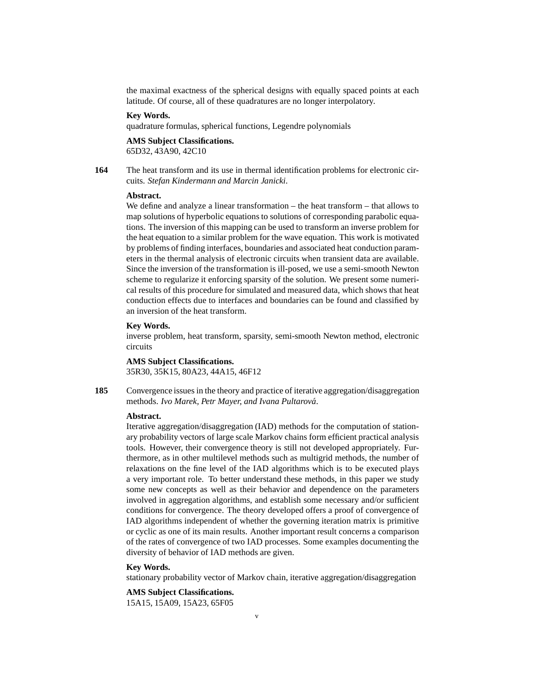the maximal exactness of the spherical designs with equally spaced points at each latitude. Of course, all of these quadratures are no longer interpolatory.

## **Key Words.**

quadrature formulas, spherical functions, Legendre polynomials

## **AMS Subject Classifications.**

65D32, 43A90, 42C10

**164** The heat transform and its use in thermal identification problems for electronic circuits. *Stefan Kindermann and Marcin Janicki*.

#### **Abstract.**

We define and analyze a linear transformation – the heat transform – that allows to map solutions of hyperbolic equations to solutions of corresponding parabolic equations. The inversion of this mapping can be used to transform an inverse problem for the heat equation to a similar problem for the wave equation. This work is motivated by problems of finding interfaces, boundaries and associated heat conduction parameters in the thermal analysis of electronic circuits when transient data are available. Since the inversion of the transformation is ill-posed, we use a semi-smooth Newton scheme to regularize it enforcing sparsity of the solution. We present some numerical results of this procedure for simulated and measured data, which shows that heat conduction effects due to interfaces and boundaries can be found and classified by an inversion of the heat transform.

## **Key Words.**

inverse problem, heat transform, sparsity, semi-smooth Newton method, electronic circuits

**AMS Subject Classifications.** 35R30, 35K15, 80A23, 44A15, 46F12

**185** Convergence issues in the theory and practice of iterative aggregation/disaggregation methods. *Ivo Marek, Petr Mayer, and Ivana Pultarova´*.

#### **Abstract.**

Iterative aggregation/disaggregation (IAD) methods for the computation of stationary probability vectors of large scale Markov chains form efficient practical analysis tools. However, their convergence theory is still not developed appropriately. Furthermore, as in other multilevel methods such as multigrid methods, the number of relaxations on the fine level of the IAD algorithms which is to be executed plays a very important role. To better understand these methods, in this paper we study some new concepts as well as their behavior and dependence on the parameters involved in aggregation algorithms, and establish some necessary and/or sufficient conditions for convergence. The theory developed offers a proof of convergence of IAD algorithms independent of whether the governing iteration matrix is primitive or cyclic as one of its main results. Another important result concerns a comparison of the rates of convergence of two IAD processes. Some examples documenting the diversity of behavior of IAD methods are given.

#### **Key Words.**

stationary probability vector of Markov chain, iterative aggregation/disaggregation

## **AMS Subject Classifications.**

15A15, 15A09, 15A23, 65F05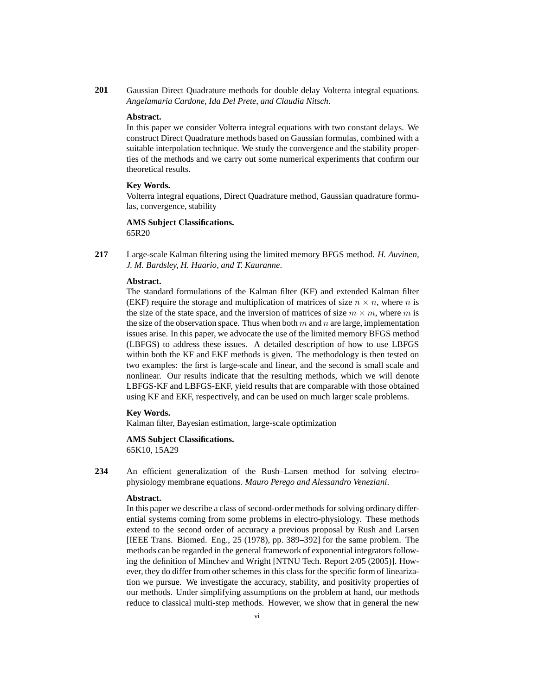**201** Gaussian Direct Quadrature methods for double delay Volterra integral equations. *Angelamaria Cardone, Ida Del Prete, and Claudia Nitsch*.

#### **Abstract.**

In this paper we consider Volterra integral equations with two constant delays. We construct Direct Quadrature methods based on Gaussian formulas, combined with a suitable interpolation technique. We study the convergence and the stability properties of the methods and we carry out some numerical experiments that confirm our theoretical results.

#### **Key Words.**

Volterra integral equations, Direct Quadrature method, Gaussian quadrature formulas, convergence, stability

**AMS Subject Classifications.** 65R20

**217** Large-scale Kalman filtering using the limited memory BFGS method. *H. Auvinen, J. M. Bardsley, H. Haario, and T. Kauranne*.

## **Abstract.**

The standard formulations of the Kalman filter (KF) and extended Kalman filter (EKF) require the storage and multiplication of matrices of size  $n \times n$ , where n is the size of the state space, and the inversion of matrices of size  $m \times m$ , where m is the size of the observation space. Thus when both  $m$  and  $n$  are large, implementation issues arise. In this paper, we advocate the use of the limited memory BFGS method (LBFGS) to address these issues. A detailed description of how to use LBFGS within both the KF and EKF methods is given. The methodology is then tested on two examples: the first is large-scale and linear, and the second is small scale and nonlinear. Our results indicate that the resulting methods, which we will denote LBFGS-KF and LBFGS-EKF, yield results that are comparable with those obtained using KF and EKF, respectively, and can be used on much larger scale problems.

## **Key Words.**

Kalman filter, Bayesian estimation, large-scale optimization

## **AMS Subject Classifications.**

65K10, 15A29

**234** An efficient generalization of the Rush–Larsen method for solving electrophysiology membrane equations. *Mauro Perego and Alessandro Veneziani*.

## **Abstract.**

In this paper we describe a class of second-order methods for solving ordinary differential systems coming from some problems in electro-physiology. These methods extend to the second order of accuracy a previous proposal by Rush and Larsen [IEEE Trans. Biomed. Eng., 25 (1978), pp. 389–392] for the same problem. The methods can be regarded in the general framework of exponential integrators following the definition of Minchev and Wright [NTNU Tech. Report 2/05 (2005)]. However, they do differ from other schemes in this class for the specific form of linearization we pursue. We investigate the accuracy, stability, and positivity properties of our methods. Under simplifying assumptions on the problem at hand, our methods reduce to classical multi-step methods. However, we show that in general the new